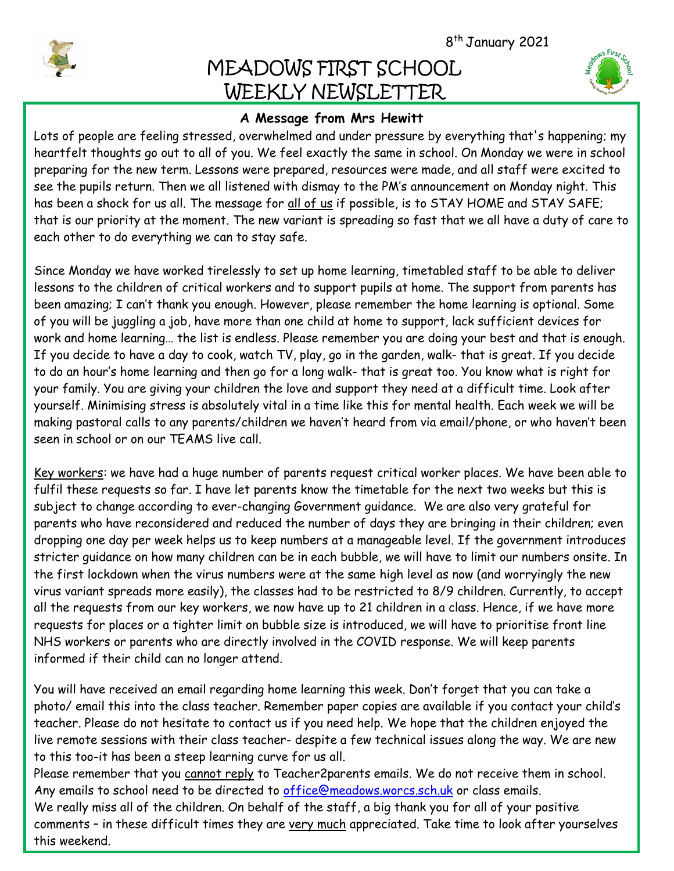8 th January 2021

# MEADOWS FIRST SCHOOL WEEKLY NEWSLETTER



## **A Message from Mrs Hewitt**

 preparing for the new term. Lessons were prepared, resources were made, and all staff were excited to Lots of people are feeling stressed, overwhelmed and under pressure by everything that's happening; my heartfelt thoughts go out to all of you. We feel exactly the same in school. On Monday we were in school see the pupils return. Then we all listened with dismay to the PM's announcement on Monday night. This has been a shock for us all. The message for all of us if possible, is to STAY HOME and STAY SAFE; that is our priority at the moment. The new variant is spreading so fast that we all have a duty of care to each other to do everything we can to stay safe.

Since Monday we have worked tirelessly to set up home learning, timetabled staff to be able to deliver lessons to the children of critical workers and to support pupils at home. The support from parents has been amazing; I can't thank you enough. However, please remember the home learning is optional. Some of you will be juggling a job, have more than one child at home to support, lack sufficient devices for work and home learning… the list is endless. Please remember you are doing your best and that is enough. If you decide to have a day to cook, watch TV, play, go in the garden, walk- that is great. If you decide to do an hour's home learning and then go for a long walk- that is great too. You know what is right for your family. You are giving your children the love and support they need at a difficult time. Look after yourself. Minimising stress is absolutely vital in a time like this for mental health. Each week we will be making pastoral calls to any parents/children we haven't heard from via email/phone, or who haven't been seen in school or on our TEAMS live call.

Key workers: we have had a huge number of parents request critical worker places. We have been able to fulfil these requests so far. I have let parents know the timetable for the next two weeks but this is subject to change according to ever-changing Government guidance. We are also very grateful for parents who have reconsidered and reduced the number of days they are bringing in their children; even dropping one day per week helps us to keep numbers at a manageable level. If the government introduces stricter guidance on how many children can be in each bubble, we will have to limit our numbers onsite. In the first lockdown when the virus numbers were at the same high level as now (and worryingly the new virus variant spreads more easily), the classes had to be restricted to 8/9 children. Currently, to accept all the requests from our key workers, we now have up to 21 children in a class. Hence, if we have more requests for places or a tighter limit on bubble size is introduced, we will have to prioritise front line NHS workers or parents who are directly involved in the COVID response. We will keep parents informed if their child can no longer attend.

You will have received an email regarding home learning this week. Don't forget that you can take a photo/ email this into the class teacher. Remember paper copies are available if you contact your child's teacher. Please do not hesitate to contact us if you need help. We hope that the children enjoyed the live remote sessions with their class teacher- despite a few technical issues along the way. We are new to this too-it has been a steep learning curve for us all.

Please remember that you cannot reply to Teacher2parents emails. We do not receive them in school. Any emails to school need to be directed to [office@meadows.worcs.sch.uk](mailto:office@meadows.worcs.sch.uk) or class emails. We really miss all of the children. On behalf of the staff, a big thank you for all of your positive comments – in these difficult times they are very much appreciated. Take time to look after yourselves this weekend.